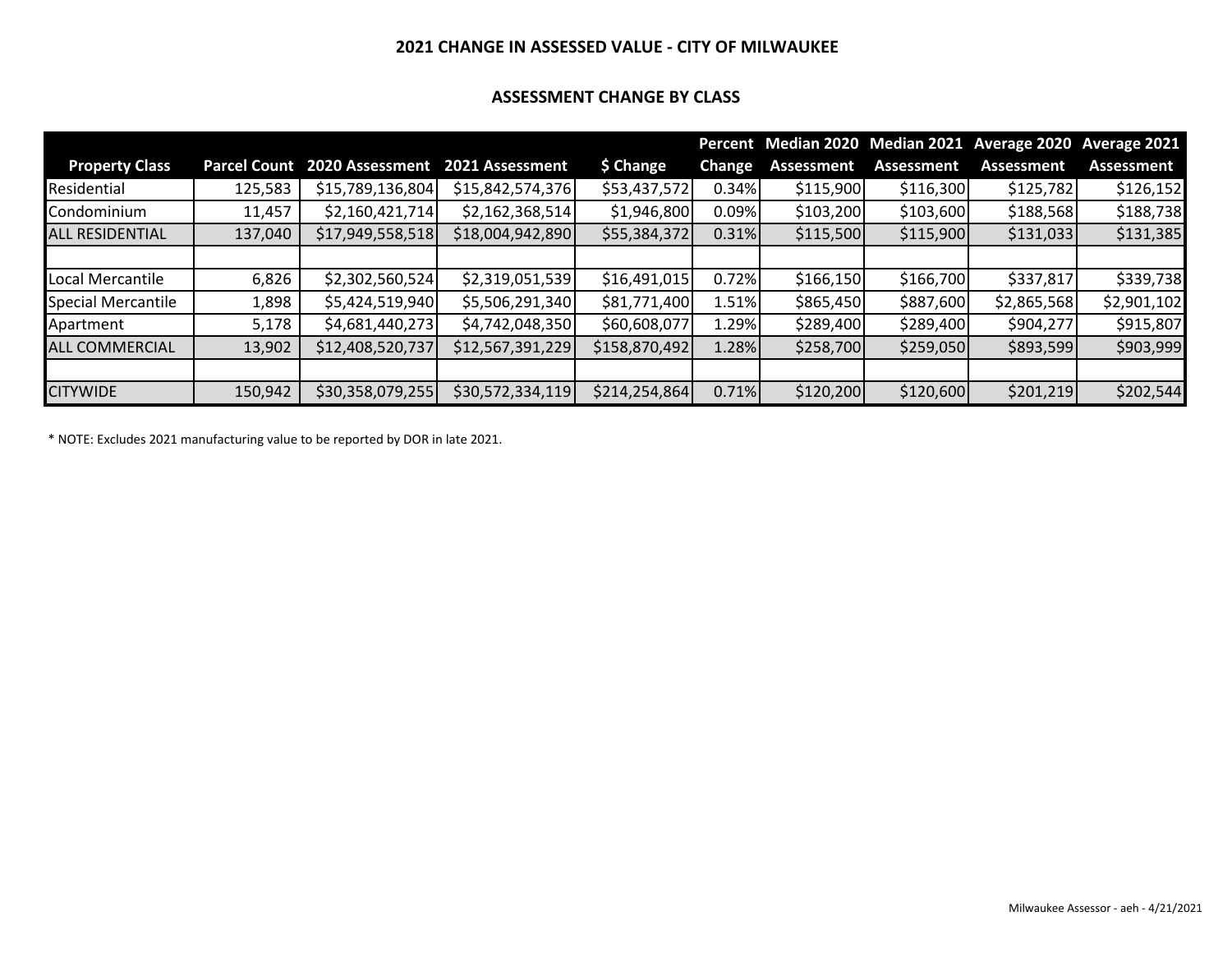### **2021 CHANGE IN ASSESSED VALUE - CITY OF MILWAUKEE**

### **ASSESSMENT CHANGE BY CLASS**

|                           |                     |                  |                  |               |               |                   |                   | Percent Median 2020 Median 2021 Average 2020 Average 2021 |             |
|---------------------------|---------------------|------------------|------------------|---------------|---------------|-------------------|-------------------|-----------------------------------------------------------|-------------|
| <b>Property Class</b>     | <b>Parcel Count</b> | 2020 Assessment  | 2021 Assessment  | \$ Change     | <b>Change</b> | <b>Assessment</b> | <b>Assessment</b> | Assessment                                                | Assessment  |
| Residential               | 125,583             | \$15,789,136,804 | \$15,842,574,376 | \$53,437,572  | 0.34%         | \$115,900         | \$116,300         | \$125,782                                                 | \$126,152   |
| Condominium               | 11,457              | \$2,160,421,714] | \$2,162,368,514  | \$1,946,800   | 0.09%         | \$103,200         | \$103,600         | \$188,568                                                 | \$188,738   |
| <b>ALL RESIDENTIAL</b>    | 137,040             | \$17,949,558,518 | \$18,004,942,890 | \$55,384,372  | 0.31%         | \$115,500         | \$115,900         | \$131,033                                                 | \$131,385   |
|                           |                     |                  |                  |               |               |                   |                   |                                                           |             |
| Local Mercantile          | 6,826               | \$2,302,560,524  | \$2,319,051,539  | \$16,491,015  | 0.72%         | \$166,150         | \$166,700         | \$337,817                                                 | \$339,738   |
| <b>Special Mercantile</b> | 1,898               | \$5,424,519,940  | \$5,506,291,340  | \$81,771,400  | 1.51%         | \$865,450         | \$887,600         | \$2,865,568                                               | \$2,901,102 |
| Apartment                 | 5,178               | \$4,681,440,273  | \$4,742,048,350  | \$60,608,077  | 1.29%         | \$289,400         | \$289,400         | \$904,277                                                 | \$915,807   |
| <b>ALL COMMERCIAL</b>     | 13,902              | \$12,408,520,737 | \$12,567,391,229 | \$158,870,492 | 1.28%         | \$258,700         | \$259,050         | \$893,599                                                 | \$903,999   |
|                           |                     |                  |                  |               |               |                   |                   |                                                           |             |
| <b>CITYWIDE</b>           | 150,942             | \$30,358,079,255 | \$30,572,334,119 | \$214,254,864 | 0.71%         | \$120,200         | \$120,600         | \$201,219                                                 | \$202,544   |

\* NOTE: Excludes 2021 manufacturing value to be reported by DOR in late 2021.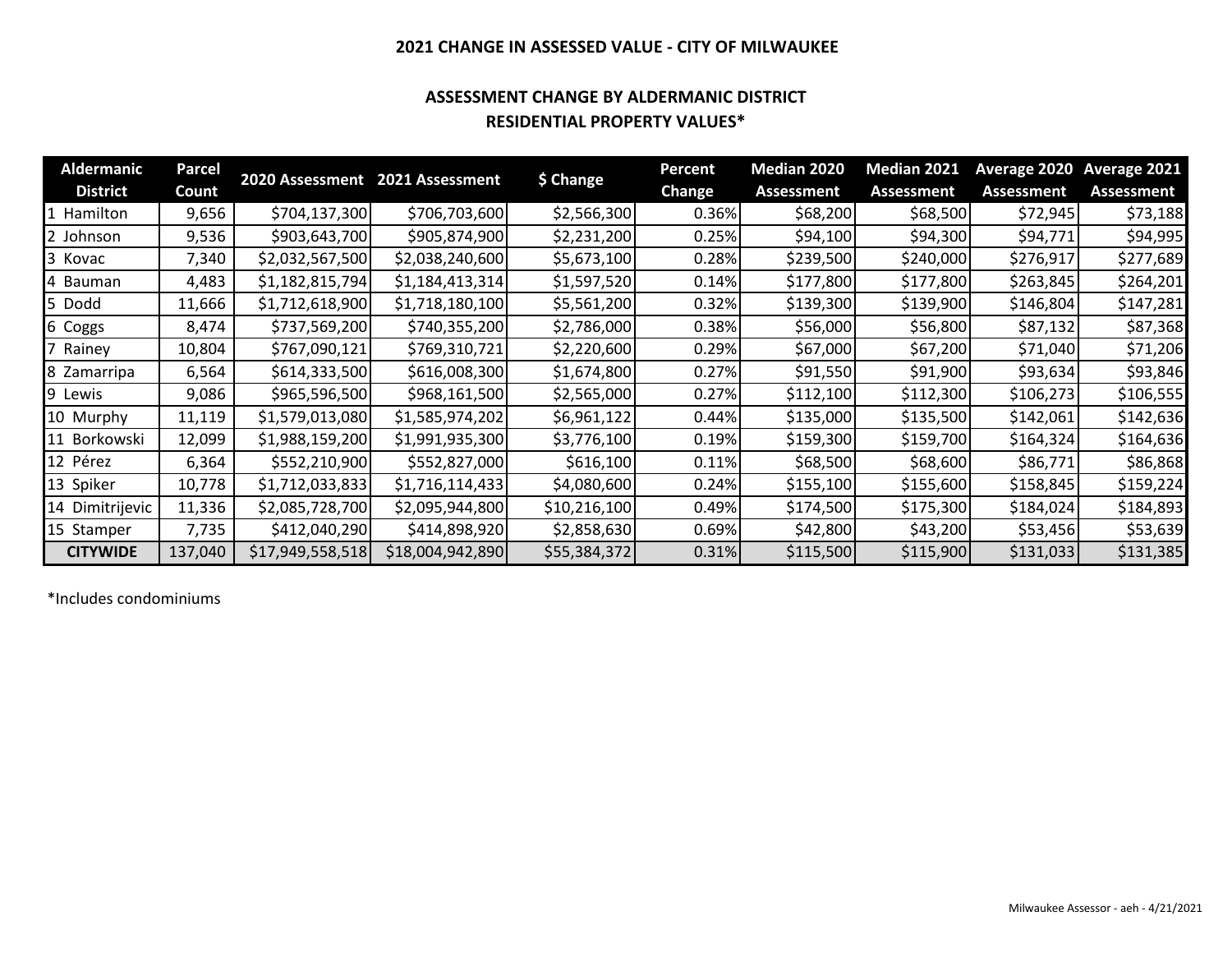### **2021 CHANGE IN ASSESSED VALUE - CITY OF MILWAUKEE**

### **ASSESSMENT CHANGE BY ALDERMANIC DISTRICT RESIDENTIAL PROPERTY VALUES\***

| <b>Aldermanic</b> | Parcel  |                  |                                 |              | <b>Percent</b> | Median 2020       | Median 2021 | Average 2020      | Average 2021      |
|-------------------|---------|------------------|---------------------------------|--------------|----------------|-------------------|-------------|-------------------|-------------------|
| <b>District</b>   | Count   |                  | 2020 Assessment 2021 Assessment | \$ Change    | <b>Change</b>  | <b>Assessment</b> | Assessment  | <b>Assessment</b> | <b>Assessment</b> |
| Hamilton          | 9,656   | \$704,137,300    | \$706,703,600                   | \$2,566,300  | 0.36%          | \$68,200          | \$68,500    | \$72,945          | \$73,188          |
| Johnson           | 9,536   | \$903,643,700    | \$905,874,900                   | \$2,231,200  | 0.25%          | \$94,100          | \$94,300    | \$94,771          | \$94,995          |
| 3 Kovac           | 7,340   | \$2,032,567,500  | \$2,038,240,600                 | \$5,673,100  | 0.28%          | \$239,500         | \$240,000   | \$276,917         | \$277,689         |
| Bauman            | 4,483   | \$1,182,815,794  | \$1,184,413,314                 | \$1,597,520  | 0.14%          | \$177,800         | \$177,800   | \$263,845         | \$264,201         |
| Dodd              | 11,666  | \$1,712,618,900  | \$1,718,180,100                 | \$5,561,200  | 0.32%          | \$139,300         | \$139,900   | \$146,804         | \$147,281         |
| 6 Coggs           | 8,474   | \$737,569,200    | \$740,355,200                   | \$2,786,000  | 0.38%          | \$56,000          | \$56,800    | \$87,132          | \$87,368          |
| Rainey            | 10,804  | \$767,090,121    | \$769,310,721                   | \$2,220,600  | 0.29%          | \$67,000          | \$67,200    | \$71,040          | \$71,206          |
| 8 Zamarripa       | 6,564   | \$614,333,500    | \$616,008,300                   | \$1,674,800  | 0.27%          | \$91,550          | \$91,900    | \$93,634          | \$93,846          |
| 9 Lewis           | 9,086   | \$965,596,500    | \$968,161,500                   | \$2,565,000  | 0.27%          | \$112,100         | \$112,300   | \$106,273         | \$106,555         |
| 10 Murphy         | 11,119  | \$1,579,013,080  | \$1,585,974,202                 | \$6,961,122  | 0.44%          | \$135,000         | \$135,500   | \$142,061         | \$142,636         |
| 11 Borkowski      | 12,099  | \$1,988,159,200  | \$1,991,935,300                 | \$3,776,100  | 0.19%          | \$159,300         | \$159,700   | \$164,324         | \$164,636         |
| 12 Pérez          | 6,364   | \$552,210,900    | \$552,827,000                   | \$616,100    | 0.11%          | \$68,500          | \$68,600    | \$86,771          | \$86,868          |
| 13 Spiker         | 10,778  | \$1,712,033,833  | \$1,716,114,433                 | \$4,080,600  | 0.24%          | \$155,100         | \$155,600   | \$158,845         | \$159,224         |
| 14 Dimitrijevic   | 11,336  | \$2,085,728,700  | \$2,095,944,800                 | \$10,216,100 | 0.49%          | \$174,500         | \$175,300   | \$184,024         | \$184,893         |
| 15 Stamper        | 7,735   | \$412,040,290    | \$414,898,920                   | \$2,858,630  | 0.69%          | \$42,800          | \$43,200    | \$53,456          | \$53,639          |
| <b>CITYWIDE</b>   | 137,040 | \$17,949,558,518 | \$18,004,942,890                | \$55,384,372 | 0.31%          | \$115,500         | \$115,900   | \$131,033         | \$131,385         |

\*Includes condominiums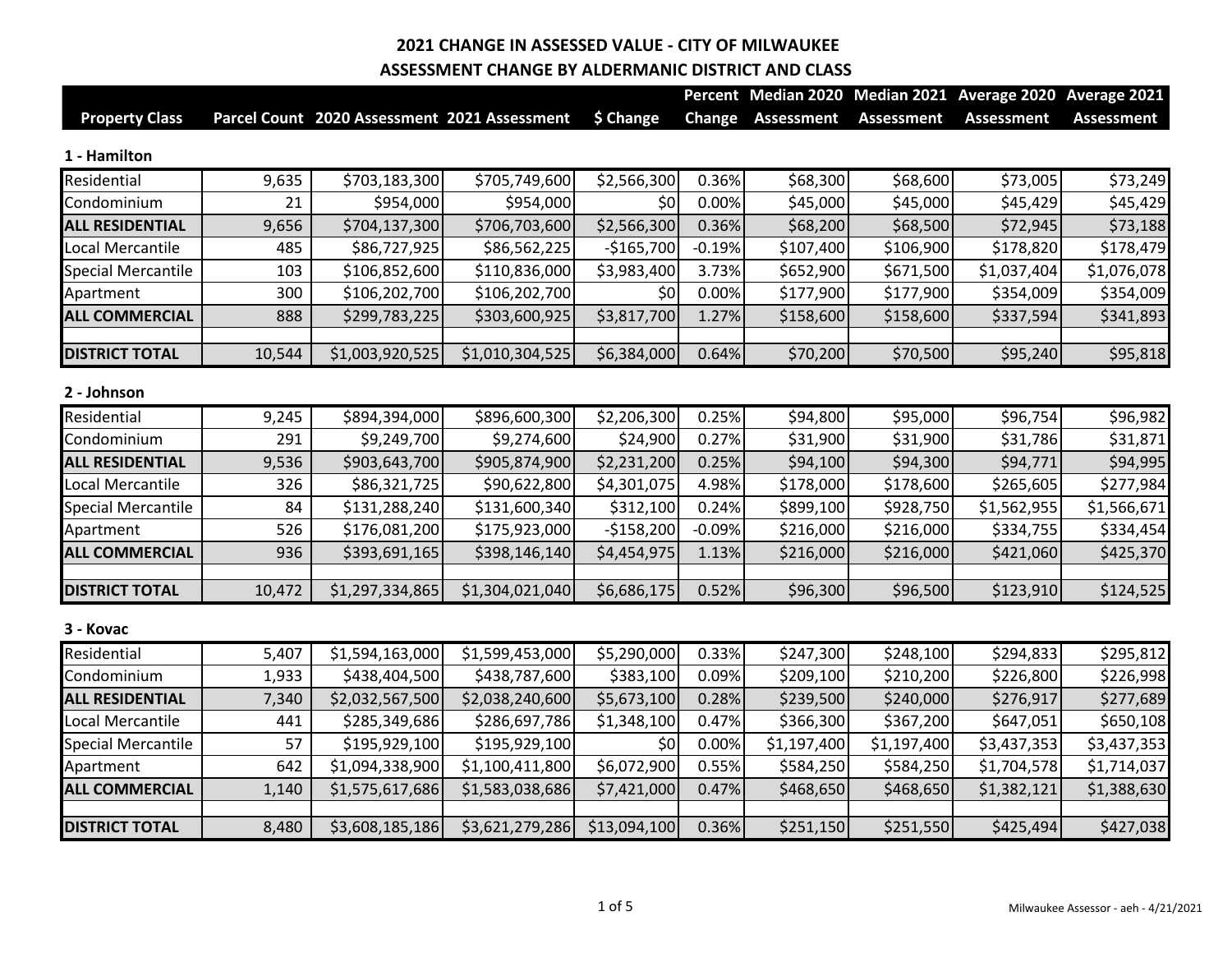|                           |        |                                              |                 |              |               |                   |                   | Percent Median 2020 Median 2021 Average 2020 Average 2021 |                   |
|---------------------------|--------|----------------------------------------------|-----------------|--------------|---------------|-------------------|-------------------|-----------------------------------------------------------|-------------------|
| <b>Property Class</b>     |        | Parcel Count 2020 Assessment 2021 Assessment |                 | \$ Change    | <b>Change</b> | <b>Assessment</b> | <b>Assessment</b> | <b>Assessment</b>                                         | <b>Assessment</b> |
| 1 - Hamilton              |        |                                              |                 |              |               |                   |                   |                                                           |                   |
| Residential               | 9,635  | \$703,183,300                                | \$705,749,600   | \$2,566,300  | 0.36%         | \$68,300          | \$68,600          | \$73,005                                                  | \$73,249          |
| Condominium               | 21     | \$954,000                                    | \$954,000       | \$0          | 0.00%         | \$45,000          | \$45,000          | \$45,429                                                  | \$45,429          |
| <b>ALL RESIDENTIAL</b>    | 9,656  | \$704,137,300                                | \$706,703,600   | \$2,566,300  | 0.36%         | \$68,200          | \$68,500          | \$72,945                                                  | \$73,188          |
| Local Mercantile          | 485    | \$86,727,925                                 | \$86,562,225    | $-$165,700$  | $-0.19%$      | \$107,400         | \$106,900         | \$178,820                                                 | \$178,479         |
| <b>Special Mercantile</b> | 103    | \$106,852,600                                | \$110,836,000   | \$3,983,400  | 3.73%         | \$652,900         | \$671,500         | \$1,037,404                                               | \$1,076,078       |
| Apartment                 | 300    | \$106,202,700                                | \$106,202,700   | \$0          | 0.00%         | \$177,900         | \$177,900         | \$354,009                                                 | \$354,009         |
| <b>ALL COMMERCIAL</b>     | 888    | \$299,783,225                                | \$303,600,925   | \$3,817,700  | 1.27%         | \$158,600         | \$158,600         | \$337,594                                                 | \$341,893         |
| <b>DISTRICT TOTAL</b>     | 10,544 | \$1,003,920,525                              | \$1,010,304,525 | \$6,384,000  | 0.64%         | \$70,200          | \$70,500          | \$95,240                                                  | \$95,818          |
| 2 - Johnson               |        |                                              |                 |              |               |                   |                   |                                                           |                   |
| Residential               | 9,245  | \$894,394,000                                | \$896,600,300   | \$2,206,300  | 0.25%         | \$94,800          | \$95,000          | \$96,754                                                  | \$96,982          |
| Condominium               | 291    | \$9,249,700                                  | \$9,274,600     | \$24,900     | 0.27%         | \$31,900          | \$31,900          | \$31,786                                                  | \$31,871          |
| <b>ALL RESIDENTIAL</b>    | 9,536  | \$903,643,700                                | \$905,874,900   | \$2,231,200  | 0.25%         | \$94,100          | \$94,300          | \$94,771                                                  | \$94,995          |
| Local Mercantile          | 326    | \$86,321,725                                 | \$90,622,800    | \$4,301,075  | 4.98%         | \$178,000         | \$178,600         | \$265,605                                                 | \$277,984         |
| <b>Special Mercantile</b> | 84     | \$131,288,240                                | \$131,600,340   | \$312,100    | 0.24%         | \$899,100         | \$928,750         | \$1,562,955                                               | \$1,566,671       |
| Apartment                 | 526    | \$176,081,200                                | \$175,923,000   | $-$158,200$  | $-0.09%$      | \$216,000         | \$216,000         | \$334,755                                                 | \$334,454         |
| <b>ALL COMMERCIAL</b>     | 936    | \$393,691,165                                | \$398,146,140   | \$4,454,975  | 1.13%         | \$216,000         | \$216,000         | \$421,060                                                 | \$425,370         |
| <b>DISTRICT TOTAL</b>     | 10,472 | \$1,297,334,865                              | \$1,304,021,040 | \$6,686,175  | 0.52%         | \$96,300          | \$96,500          | \$123,910                                                 | \$124,525         |
| 3 - Kovac                 |        |                                              |                 |              |               |                   |                   |                                                           |                   |
| Residential               | 5,407  | \$1,594,163,000                              | \$1,599,453,000 | \$5,290,000  | 0.33%         | \$247,300         | \$248,100         | \$294,833                                                 | \$295,812         |
| Condominium               | 1,933  | \$438,404,500                                | \$438,787,600   | \$383,100    | 0.09%         | \$209,100         | \$210,200         | \$226,800                                                 | \$226,998         |
| <b>ALL RESIDENTIAL</b>    | 7,340  | \$2,032,567,500                              | \$2,038,240,600 | \$5,673,100  | 0.28%         | \$239,500         | \$240,000         | \$276,917                                                 | \$277,689         |
| Local Mercantile          | 441    | \$285,349,686                                | \$286,697,786   | \$1,348,100  | 0.47%         | \$366,300         | \$367,200         | \$647,051                                                 | \$650,108         |
| <b>Special Mercantile</b> | 57     | \$195,929,100                                | \$195,929,100   | \$0          | 0.00%         | \$1,197,400       | \$1,197,400       | \$3,437,353                                               | \$3,437,353       |
| Apartment                 | 642    | \$1,094,338,900                              | \$1,100,411,800 | \$6,072,900  | 0.55%         | \$584,250         | \$584,250         | \$1,704,578                                               | \$1,714,037       |
| <b>ALL COMMERCIAL</b>     | 1,140  | \$1,575,617,686                              | \$1,583,038,686 | \$7,421,000  | 0.47%         | \$468,650         | \$468,650         | \$1,382,121                                               | \$1,388,630       |
| <b>DISTRICT TOTAL</b>     | 8,480  | \$3,608,185,186                              | \$3,621,279,286 | \$13,094,100 | 0.36%         | \$251,150         | \$251,550         | \$425,494                                                 | \$427,038         |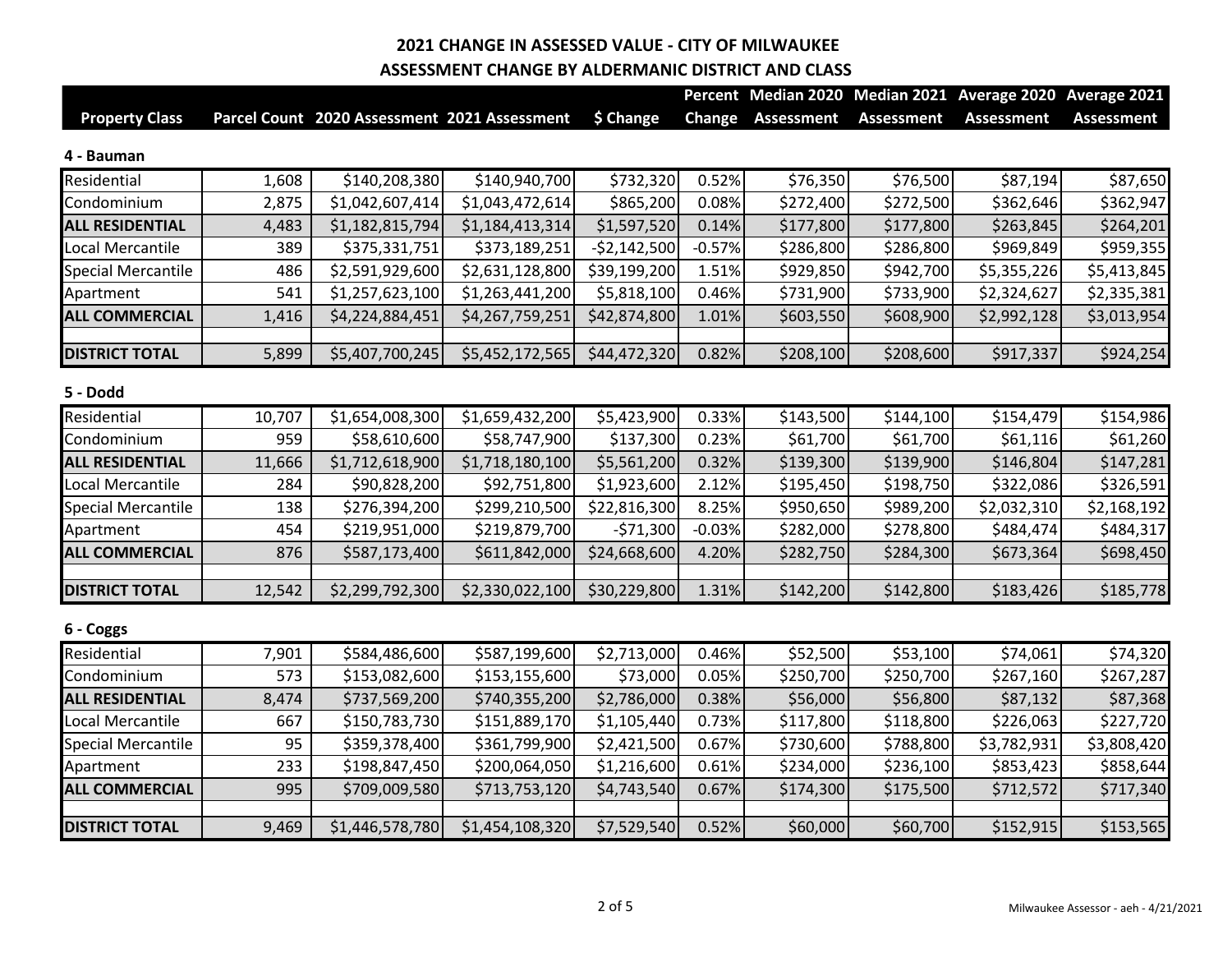|                           |        |                                              |                 |               |          |                   |                   | Percent Median 2020 Median 2021 Average 2020 Average 2021 |                   |
|---------------------------|--------|----------------------------------------------|-----------------|---------------|----------|-------------------|-------------------|-----------------------------------------------------------|-------------------|
| <b>Property Class</b>     |        | Parcel Count 2020 Assessment 2021 Assessment |                 | \$ Change     | Change   | <b>Assessment</b> | <b>Assessment</b> | <b>Assessment</b>                                         | <b>Assessment</b> |
| 4 - Bauman                |        |                                              |                 |               |          |                   |                   |                                                           |                   |
| Residential               | 1,608  | \$140,208,380                                | \$140,940,700   | \$732,320     | 0.52%    | \$76,350          | \$76,500          | \$87,194                                                  | \$87,650          |
| Condominium               | 2,875  | \$1,042,607,414                              | \$1,043,472,614 | \$865,200     | 0.08%    | \$272,400         | \$272,500         | \$362,646                                                 | \$362,947         |
| <b>ALL RESIDENTIAL</b>    | 4,483  | \$1,182,815,794                              | \$1,184,413,314 | \$1,597,520   | 0.14%    | \$177,800         | \$177,800         | \$263,845                                                 | \$264,201         |
| Local Mercantile          | 389    | \$375,331,751                                | \$373,189,251   | $-52,142,500$ | $-0.57%$ | \$286,800         | \$286,800         | \$969,849                                                 | \$959,355         |
| <b>Special Mercantile</b> | 486    | \$2,591,929,600                              | \$2,631,128,800 | \$39,199,200  | 1.51%    | \$929,850         | \$942,700         | \$5,355,226                                               | \$5,413,845       |
| Apartment                 | 541    | \$1,257,623,100                              | \$1,263,441,200 | \$5,818,100   | 0.46%    | \$731,900         | \$733,900         | \$2,324,627                                               | \$2,335,381       |
| <b>ALL COMMERCIAL</b>     | 1,416  | \$4,224,884,451                              | \$4,267,759,251 | \$42,874,800  | 1.01%    | \$603,550         | \$608,900         | \$2,992,128                                               | \$3,013,954       |
| <b>DISTRICT TOTAL</b>     | 5,899  | \$5,407,700,245                              | \$5,452,172,565 | \$44,472,320  | 0.82%    | \$208,100         | \$208,600         | \$917,337                                                 | \$924,254         |
| 5 - Dodd                  |        |                                              |                 |               |          |                   |                   |                                                           |                   |
| Residential               | 10,707 | \$1,654,008,300                              | \$1,659,432,200 | \$5,423,900   | 0.33%    | \$143,500         | \$144,100         | \$154,479                                                 | \$154,986         |
| Condominium               | 959    | \$58,610,600                                 | \$58,747,900    | \$137,300     | 0.23%    | \$61,700          | \$61,700          | \$61,116                                                  | \$61,260          |
| <b>ALL RESIDENTIAL</b>    | 11,666 | \$1,712,618,900                              | \$1,718,180,100 | \$5,561,200   | 0.32%    | \$139,300         | \$139,900         | \$146,804                                                 | \$147,281         |
| Local Mercantile          | 284    | \$90,828,200                                 | \$92,751,800    | \$1,923,600   | 2.12%    | \$195,450         | \$198,750         | \$322,086                                                 | \$326,591         |
| <b>Special Mercantile</b> | 138    | \$276,394,200                                | \$299,210,500   | \$22,816,300  | 8.25%    | \$950,650         | \$989,200         | \$2,032,310                                               | \$2,168,192       |
| Apartment                 | 454    | \$219,951,000                                | \$219,879,700   | $-571,300$    | $-0.03%$ | \$282,000         | \$278,800         | \$484,474                                                 | \$484,317         |
| <b>ALL COMMERCIAL</b>     | 876    | \$587,173,400                                | \$611,842,000   | \$24,668,600  | 4.20%    | \$282,750         | \$284,300         | \$673,364                                                 | \$698,450         |
| <b>DISTRICT TOTAL</b>     | 12,542 | \$2,299,792,300                              | \$2,330,022,100 | \$30,229,800  | 1.31%    | \$142,200         | \$142,800         | \$183,426                                                 | \$185,778         |
| 6 - Coggs                 |        |                                              |                 |               |          |                   |                   |                                                           |                   |
| Residential               | 7,901  | \$584,486,600                                | \$587,199,600   | \$2,713,000   | 0.46%    | \$52,500          | \$53,100          | \$74,061                                                  | \$74,320          |
| Condominium               | 573    | \$153,082,600                                | \$153,155,600   | \$73,000      | 0.05%    | \$250,700         | \$250,700         | \$267,160                                                 | \$267,287         |
| <b>ALL RESIDENTIAL</b>    | 8,474  | \$737,569,200                                | \$740,355,200   | \$2,786,000   | 0.38%    | \$56,000          | \$56,800          | \$87,132                                                  | \$87,368          |
| Local Mercantile          | 667    | \$150,783,730                                | \$151,889,170   | \$1,105,440   | 0.73%    | \$117,800         | \$118,800         | \$226,063                                                 | \$227,720         |
| <b>Special Mercantile</b> | 95     | \$359,378,400                                | \$361,799,900   | \$2,421,500   | 0.67%    | \$730,600         | \$788,800         | \$3,782,931                                               | \$3,808,420       |
| Apartment                 | 233    | \$198,847,450                                | \$200,064,050   | \$1,216,600   | 0.61%    | \$234,000         | \$236,100         | \$853,423                                                 | \$858,644         |
| <b>ALL COMMERCIAL</b>     | 995    | \$709,009,580                                | \$713,753,120   | \$4,743,540   | 0.67%    | \$174,300         | \$175,500         | \$712,572                                                 | \$717,340         |
| <b>DISTRICT TOTAL</b>     | 9,469  | \$1,446,578,780                              | \$1,454,108,320 | \$7,529,540   | 0.52%    | \$60,000          | \$60,700          | \$152,915                                                 | \$153,565         |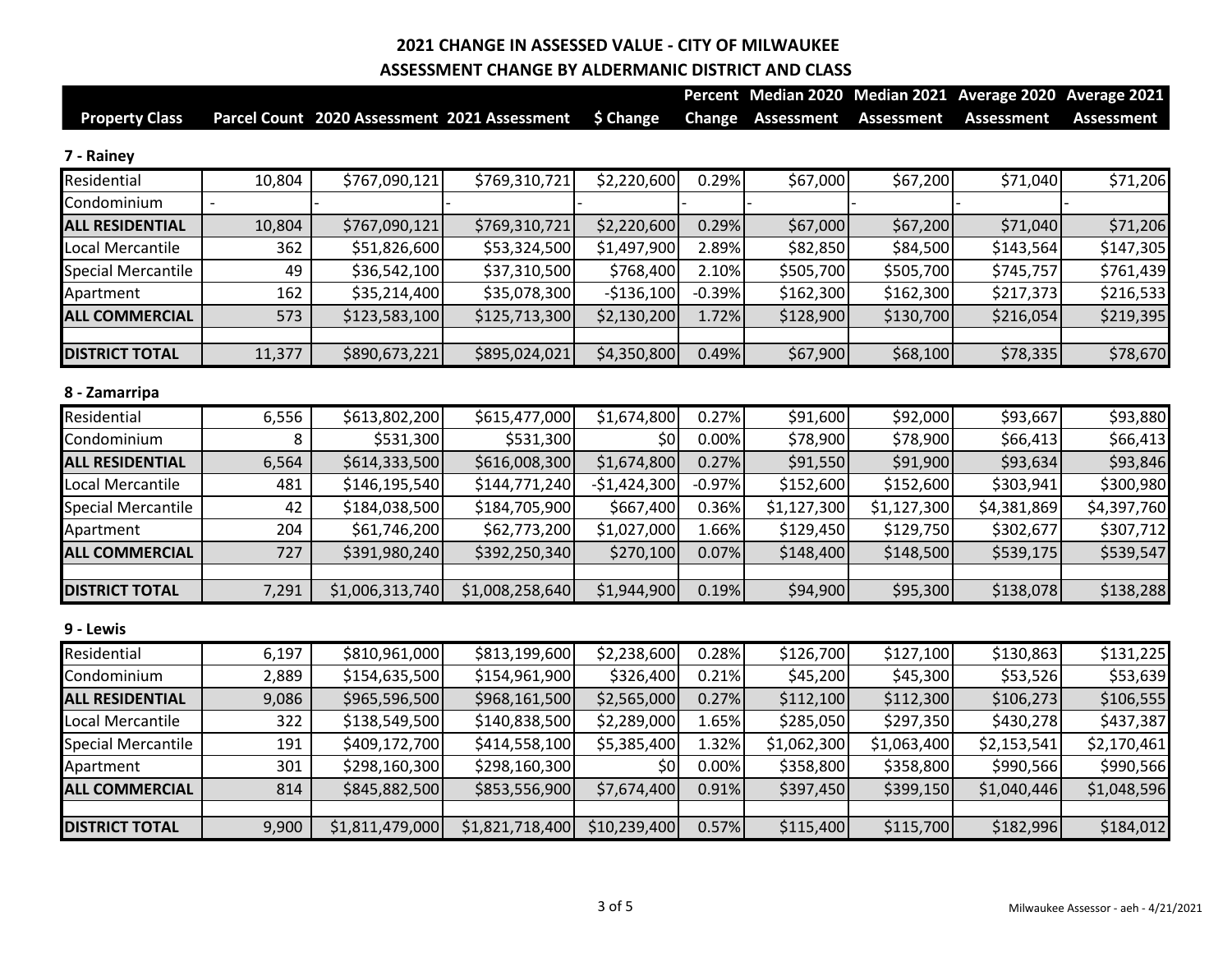|                           |        |                                              |                 |               |          |                   |                   | Percent Median 2020 Median 2021 Average 2020 Average 2021 |                   |
|---------------------------|--------|----------------------------------------------|-----------------|---------------|----------|-------------------|-------------------|-----------------------------------------------------------|-------------------|
| <b>Property Class</b>     |        | Parcel Count 2020 Assessment 2021 Assessment |                 | \$ Change     | Change   | <b>Assessment</b> | <b>Assessment</b> | <b>Assessment</b>                                         | <b>Assessment</b> |
| 7 - Rainey                |        |                                              |                 |               |          |                   |                   |                                                           |                   |
| Residential               | 10,804 | \$767,090,121                                | \$769,310,721   | \$2,220,600   | 0.29%    | \$67,000          | \$67,200          | \$71,040                                                  | \$71,206          |
| Condominium               |        |                                              |                 |               |          |                   |                   |                                                           |                   |
| <b>ALL RESIDENTIAL</b>    | 10,804 | \$767,090,121                                | \$769,310,721   | \$2,220,600   | 0.29%    | \$67,000          | \$67,200          | \$71,040                                                  | \$71,206          |
| Local Mercantile          | 362    | \$51,826,600                                 | \$53,324,500    | \$1,497,900   | 2.89%    | \$82,850          | \$84,500          | \$143,564                                                 | \$147,305         |
| <b>Special Mercantile</b> | 49     | \$36,542,100                                 | \$37,310,500    | \$768,400     | 2.10%    | \$505,700         | \$505,700         | \$745,757                                                 | \$761,439         |
| Apartment                 | 162    | \$35,214,400                                 | \$35,078,300    | $-$136,100$   | $-0.39%$ | \$162,300         | \$162,300         | \$217,373                                                 | \$216,533         |
| <b>ALL COMMERCIAL</b>     | 573    | \$123,583,100                                | \$125,713,300   | \$2,130,200   | 1.72%    | \$128,900         | \$130,700         | \$216,054                                                 | \$219,395         |
| <b>DISTRICT TOTAL</b>     | 11,377 | \$890,673,221                                | \$895,024,021   | \$4,350,800   | 0.49%    | \$67,900          | \$68,100          | \$78,335                                                  | \$78,670          |
| 8 - Zamarripa             |        |                                              |                 |               |          |                   |                   |                                                           |                   |
| Residential               | 6,556  | \$613,802,200                                | \$615,477,000   | \$1,674,800   | 0.27%    | \$91,600          | \$92,000          | \$93,667                                                  | \$93,880          |
| Condominium               | 8      | \$531,300                                    | \$531,300       | 50            | 0.00%    | \$78,900          | \$78,900          | \$66,413                                                  | \$66,413          |
| <b>ALL RESIDENTIAL</b>    | 6,564  | \$614,333,500                                | \$616,008,300   | \$1,674,800   | 0.27%    | \$91,550          | \$91,900          | \$93,634                                                  | \$93,846          |
| Local Mercantile          | 481    | \$146,195,540                                | \$144,771,240   | $-$1,424,300$ | $-0.97%$ | \$152,600         | \$152,600         | \$303,941                                                 | \$300,980         |
| <b>Special Mercantile</b> | 42     | \$184,038,500                                | \$184,705,900   | \$667,400     | 0.36%    | \$1,127,300       | \$1,127,300       | \$4,381,869                                               | \$4,397,760       |
| Apartment                 | 204    | \$61,746,200                                 | \$62,773,200    | \$1,027,000   | 1.66%    | \$129,450         | \$129,750         | \$302,677                                                 | \$307,712         |
| <b>ALL COMMERCIAL</b>     | 727    | \$391,980,240                                | \$392,250,340   | \$270,100     | 0.07%    | \$148,400         | \$148,500         | \$539,175                                                 | \$539,547         |
| <b>DISTRICT TOTAL</b>     | 7,291  | \$1,006,313,740                              | \$1,008,258,640 | \$1,944,900   | 0.19%    | \$94,900          | \$95,300          | \$138,078                                                 | \$138,288         |
| 9 - Lewis                 |        |                                              |                 |               |          |                   |                   |                                                           |                   |
| Residential               | 6,197  | \$810,961,000                                | \$813,199,600   | \$2,238,600   | 0.28%    | \$126,700         | \$127,100         | \$130,863                                                 | \$131,225         |
| Condominium               | 2,889  | \$154,635,500                                | \$154,961,900   | \$326,400     | 0.21%    | \$45,200          | \$45,300          | \$53,526                                                  | \$53,639          |
| <b>ALL RESIDENTIAL</b>    | 9,086  | \$965,596,500                                | \$968,161,500   | \$2,565,000   | 0.27%    | \$112,100         | \$112,300         | \$106,273                                                 | \$106,555         |
| Local Mercantile          | 322    | \$138,549,500                                | \$140,838,500   | \$2,289,000   | 1.65%    | \$285,050         | \$297,350         | \$430,278                                                 | \$437,387         |
| <b>Special Mercantile</b> | 191    | \$409,172,700                                | \$414,558,100   | \$5,385,400   | 1.32%    | \$1,062,300       | \$1,063,400       | \$2,153,541                                               | \$2,170,461       |
| Apartment                 | 301    | \$298,160,300                                | \$298,160,300   | \$0           | 0.00%    | \$358,800         | \$358,800         | \$990,566                                                 | \$990,566         |
| <b>ALL COMMERCIAL</b>     | 814    | \$845,882,500                                | \$853,556,900   | \$7,674,400   | 0.91%    | \$397,450         | \$399,150         | \$1,040,446                                               | \$1,048,596       |
| <b>DISTRICT TOTAL</b>     | 9,900  | \$1,811,479,000                              | \$1,821,718,400 | \$10,239,400  | 0.57%    | \$115,400         | \$115,700         | \$182,996                                                 | \$184,012         |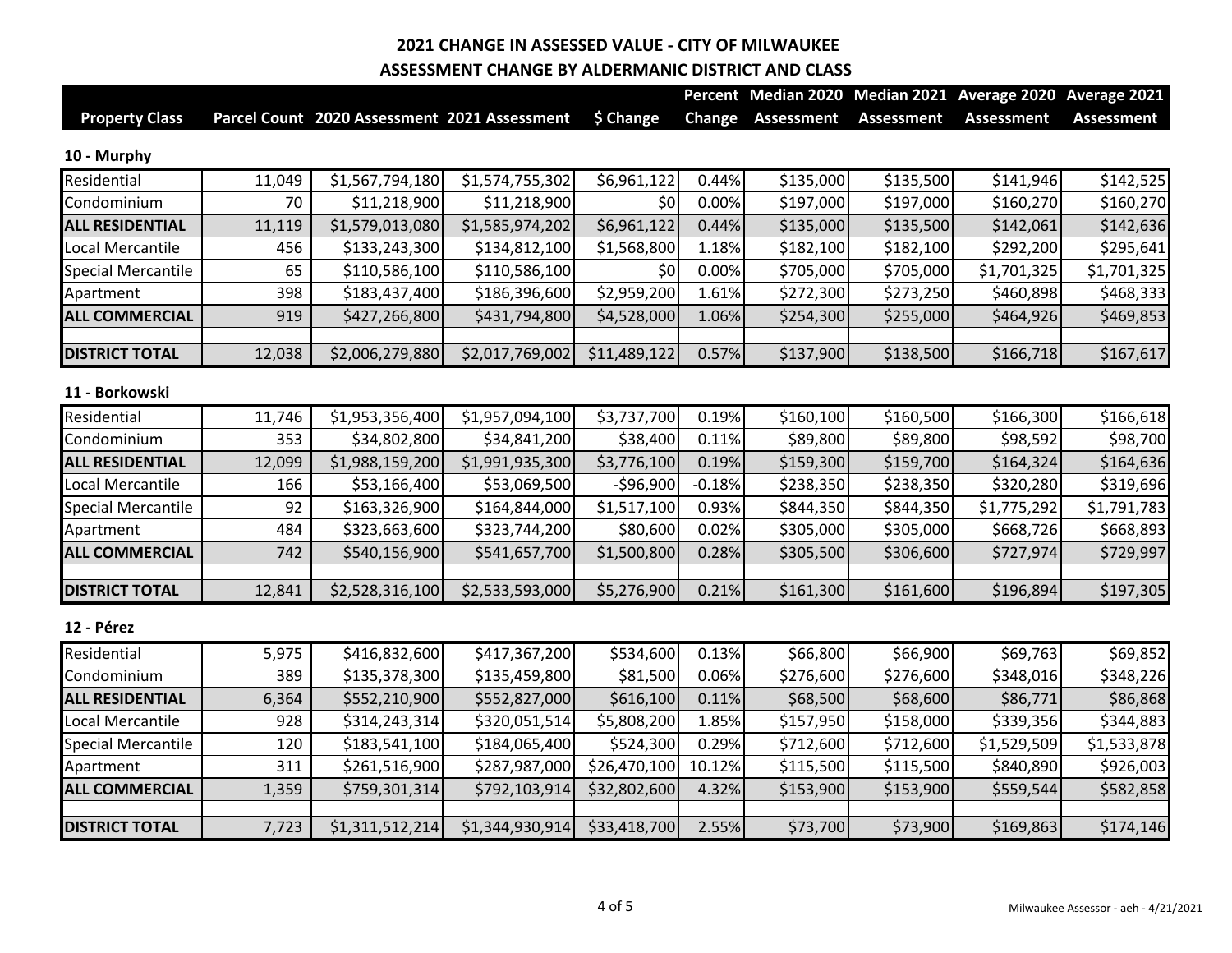|                           |        |                                              |                 |              |               |                   |                   | Percent Median 2020 Median 2021 Average 2020 Average 2021 |                   |
|---------------------------|--------|----------------------------------------------|-----------------|--------------|---------------|-------------------|-------------------|-----------------------------------------------------------|-------------------|
| <b>Property Class</b>     |        | Parcel Count 2020 Assessment 2021 Assessment |                 | \$ Change    | <b>Change</b> | <b>Assessment</b> | <b>Assessment</b> | <b>Assessment</b>                                         | <b>Assessment</b> |
| 10 - Murphy               |        |                                              |                 |              |               |                   |                   |                                                           |                   |
| Residential               | 11,049 | \$1,567,794,180                              | \$1,574,755,302 | \$6,961,122  | 0.44%         | \$135,000         | \$135,500         | \$141,946                                                 | \$142,525         |
| Condominium               | 70     | \$11,218,900                                 | \$11,218,900    | \$0          | 0.00%         | \$197,000         | \$197,000         | \$160,270                                                 | \$160,270         |
| <b>ALL RESIDENTIAL</b>    | 11,119 | \$1,579,013,080                              | \$1,585,974,202 | \$6,961,122  | 0.44%         | \$135,000         | \$135,500         | \$142,061                                                 | \$142,636         |
| Local Mercantile          | 456    | \$133,243,300                                | \$134,812,100   | \$1,568,800  | 1.18%         | \$182,100         | \$182,100         | \$292,200                                                 | \$295,641         |
| <b>Special Mercantile</b> | 65     | \$110,586,100                                | \$110,586,100   | \$0          | 0.00%         | \$705,000         | \$705,000         | \$1,701,325                                               | \$1,701,325       |
| Apartment                 | 398    | \$183,437,400                                | \$186,396,600   | \$2,959,200  | 1.61%         | \$272,300         | \$273,250         | \$460,898                                                 | \$468,333         |
| <b>ALL COMMERCIAL</b>     | 919    | \$427,266,800                                | \$431,794,800   | \$4,528,000  | 1.06%         | \$254,300         | \$255,000         | \$464,926                                                 | \$469,853         |
| <b>DISTRICT TOTAL</b>     | 12,038 | \$2,006,279,880                              | \$2,017,769,002 | \$11,489,122 | 0.57%         | \$137,900         | \$138,500         | \$166,718                                                 | \$167,617         |
| 11 - Borkowski            |        |                                              |                 |              |               |                   |                   |                                                           |                   |
| Residential               | 11,746 | \$1,953,356,400                              | \$1,957,094,100 | \$3,737,700  | 0.19%         | \$160,100         | \$160,500         | \$166,300                                                 | \$166,618         |
| Condominium               | 353    | \$34,802,800                                 | \$34,841,200    | \$38,400     | 0.11%         | \$89,800          | \$89,800          | \$98,592                                                  | \$98,700          |
| <b>ALL RESIDENTIAL</b>    | 12,099 | \$1,988,159,200                              | \$1,991,935,300 | \$3,776,100  | 0.19%         | \$159,300         | \$159,700         | \$164,324                                                 | \$164,636         |
| Local Mercantile          | 166    | \$53,166,400                                 | \$53,069,500    | $-596,900$   | $-0.18%$      | \$238,350         | \$238,350         | \$320,280                                                 | \$319,696         |
| <b>Special Mercantile</b> | 92     | \$163,326,900                                | \$164,844,000   | \$1,517,100  | 0.93%         | \$844,350         | \$844,350         | \$1,775,292                                               | \$1,791,783       |
| Apartment                 | 484    | \$323,663,600                                | \$323,744,200   | \$80,600     | 0.02%         | \$305,000         | \$305,000         | \$668,726                                                 | \$668,893         |
| <b>ALL COMMERCIAL</b>     | 742    | \$540,156,900                                | \$541,657,700   | \$1,500,800  | 0.28%         | \$305,500         | \$306,600         | \$727,974                                                 | \$729,997         |
| <b>DISTRICT TOTAL</b>     | 12,841 | \$2,528,316,100                              | \$2,533,593,000 | \$5,276,900  | 0.21%         | \$161,300         | \$161,600         | \$196,894                                                 | \$197,305         |
| 12 - Pérez                |        |                                              |                 |              |               |                   |                   |                                                           |                   |
| Residential               | 5,975  | \$416,832,600                                | \$417,367,200   | \$534,600    | 0.13%         | \$66,800          | \$66,900          | \$69,763                                                  | \$69,852          |
| Condominium               | 389    | \$135,378,300                                | \$135,459,800   | \$81,500     | 0.06%         | \$276,600         | \$276,600         | \$348,016                                                 | \$348,226         |
| <b>ALL RESIDENTIAL</b>    | 6,364  | \$552,210,900                                | \$552,827,000   | \$616,100    | 0.11%         | \$68,500          | \$68,600          | \$86,771                                                  | \$86,868          |
| Local Mercantile          | 928    | \$314,243,314                                | \$320,051,514   | \$5,808,200  | 1.85%         | \$157,950         | \$158,000         | \$339,356                                                 | \$344,883         |
| <b>Special Mercantile</b> | 120    | \$183,541,100                                | \$184,065,400   | \$524,300    | 0.29%         | \$712,600         | \$712,600         | \$1,529,509                                               | \$1,533,878       |
| Apartment                 | 311    | \$261,516,900                                | \$287,987,000   | \$26,470,100 | 10.12%        | \$115,500         | \$115,500         | \$840,890                                                 | \$926,003         |
| <b>ALL COMMERCIAL</b>     | 1,359  | \$759,301,314                                | \$792,103,914   | \$32,802,600 | 4.32%         | \$153,900         | \$153,900         | \$559,544                                                 | \$582,858         |
| <b>DISTRICT TOTAL</b>     | 7,723  | \$1,311,512,214                              | \$1,344,930,914 | \$33,418,700 | 2.55%         | \$73,700          | \$73,900          | \$169,863                                                 | \$174,146         |